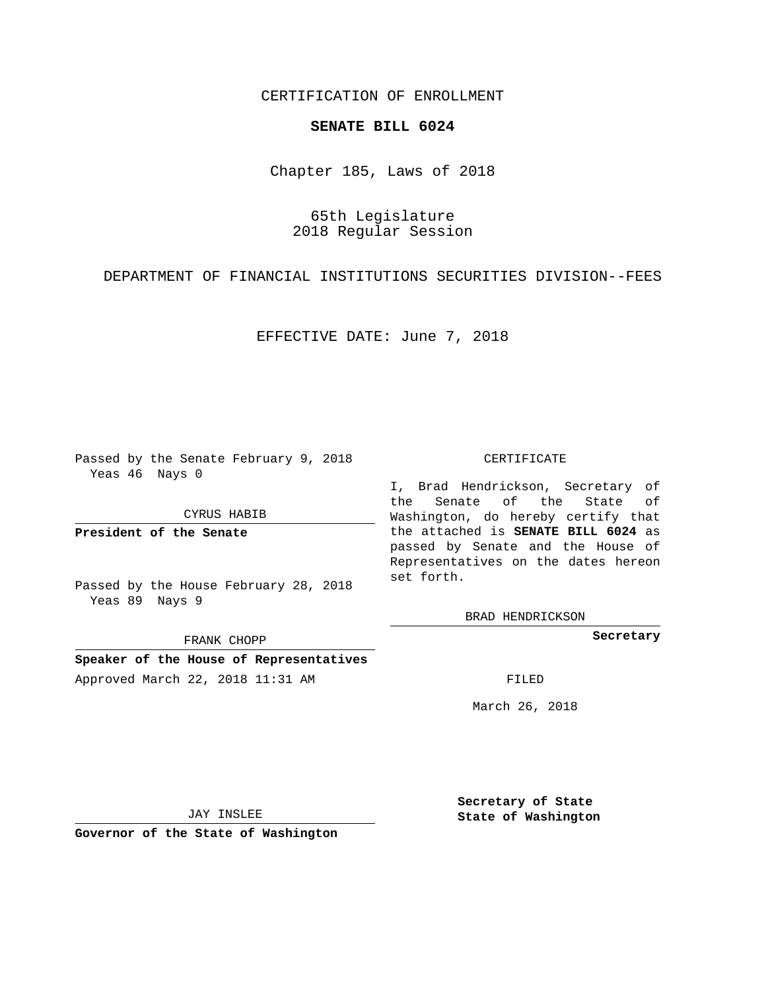CERTIFICATION OF ENROLLMENT

## **SENATE BILL 6024**

Chapter 185, Laws of 2018

65th Legislature 2018 Regular Session

DEPARTMENT OF FINANCIAL INSTITUTIONS SECURITIES DIVISION--FEES

EFFECTIVE DATE: June 7, 2018

Passed by the Senate February 9, 2018 Yeas 46 Nays 0

CYRUS HABIB

**President of the Senate**

Passed by the House February 28, 2018 Yeas 89 Nays 9

FRANK CHOPP

**Speaker of the House of Representatives** Approved March 22, 2018 11:31 AM FILED

## CERTIFICATE

I, Brad Hendrickson, Secretary of the Senate of the State of Washington, do hereby certify that the attached is **SENATE BILL 6024** as passed by Senate and the House of Representatives on the dates hereon set forth.

BRAD HENDRICKSON

**Secretary**

March 26, 2018

JAY INSLEE

**Governor of the State of Washington**

**Secretary of State State of Washington**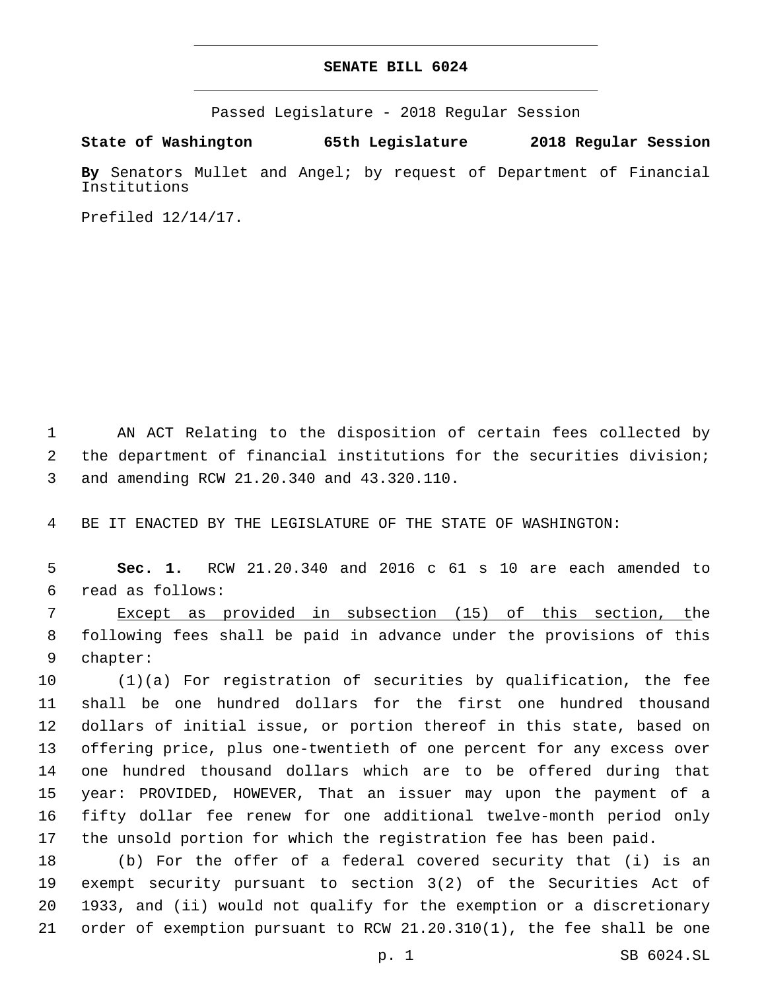## **SENATE BILL 6024**

Passed Legislature - 2018 Regular Session

**State of Washington 65th Legislature 2018 Regular Session**

**By** Senators Mullet and Angel; by request of Department of Financial Institutions

Prefiled 12/14/17.

 AN ACT Relating to the disposition of certain fees collected by the department of financial institutions for the securities division; 3 and amending RCW 21.20.340 and 43.320.110.

BE IT ENACTED BY THE LEGISLATURE OF THE STATE OF WASHINGTON:

 **Sec. 1.** RCW 21.20.340 and 2016 c 61 s 10 are each amended to read as follows:6

 Except as provided in subsection (15) of this section, the following fees shall be paid in advance under the provisions of this 9 chapter:

 (1)(a) For registration of securities by qualification, the fee shall be one hundred dollars for the first one hundred thousand dollars of initial issue, or portion thereof in this state, based on offering price, plus one-twentieth of one percent for any excess over one hundred thousand dollars which are to be offered during that year: PROVIDED, HOWEVER, That an issuer may upon the payment of a fifty dollar fee renew for one additional twelve-month period only the unsold portion for which the registration fee has been paid.

 (b) For the offer of a federal covered security that (i) is an exempt security pursuant to section 3(2) of the Securities Act of 1933, and (ii) would not qualify for the exemption or a discretionary order of exemption pursuant to RCW 21.20.310(1), the fee shall be one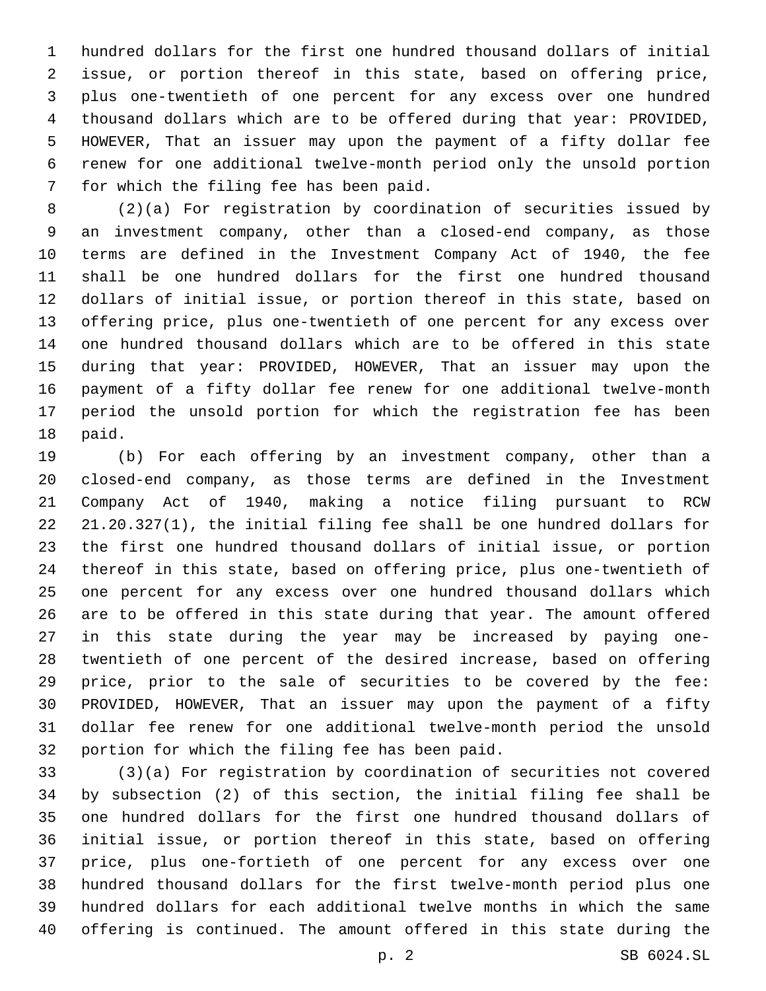hundred dollars for the first one hundred thousand dollars of initial issue, or portion thereof in this state, based on offering price, plus one-twentieth of one percent for any excess over one hundred thousand dollars which are to be offered during that year: PROVIDED, HOWEVER, That an issuer may upon the payment of a fifty dollar fee renew for one additional twelve-month period only the unsold portion 7 for which the filing fee has been paid.

 (2)(a) For registration by coordination of securities issued by an investment company, other than a closed-end company, as those terms are defined in the Investment Company Act of 1940, the fee shall be one hundred dollars for the first one hundred thousand dollars of initial issue, or portion thereof in this state, based on offering price, plus one-twentieth of one percent for any excess over one hundred thousand dollars which are to be offered in this state during that year: PROVIDED, HOWEVER, That an issuer may upon the payment of a fifty dollar fee renew for one additional twelve-month period the unsold portion for which the registration fee has been 18 paid.

 (b) For each offering by an investment company, other than a closed-end company, as those terms are defined in the Investment Company Act of 1940, making a notice filing pursuant to RCW 21.20.327(1), the initial filing fee shall be one hundred dollars for the first one hundred thousand dollars of initial issue, or portion thereof in this state, based on offering price, plus one-twentieth of one percent for any excess over one hundred thousand dollars which are to be offered in this state during that year. The amount offered in this state during the year may be increased by paying one- twentieth of one percent of the desired increase, based on offering price, prior to the sale of securities to be covered by the fee: PROVIDED, HOWEVER, That an issuer may upon the payment of a fifty dollar fee renew for one additional twelve-month period the unsold 32 portion for which the filing fee has been paid.

 (3)(a) For registration by coordination of securities not covered by subsection (2) of this section, the initial filing fee shall be one hundred dollars for the first one hundred thousand dollars of initial issue, or portion thereof in this state, based on offering price, plus one-fortieth of one percent for any excess over one hundred thousand dollars for the first twelve-month period plus one hundred dollars for each additional twelve months in which the same offering is continued. The amount offered in this state during the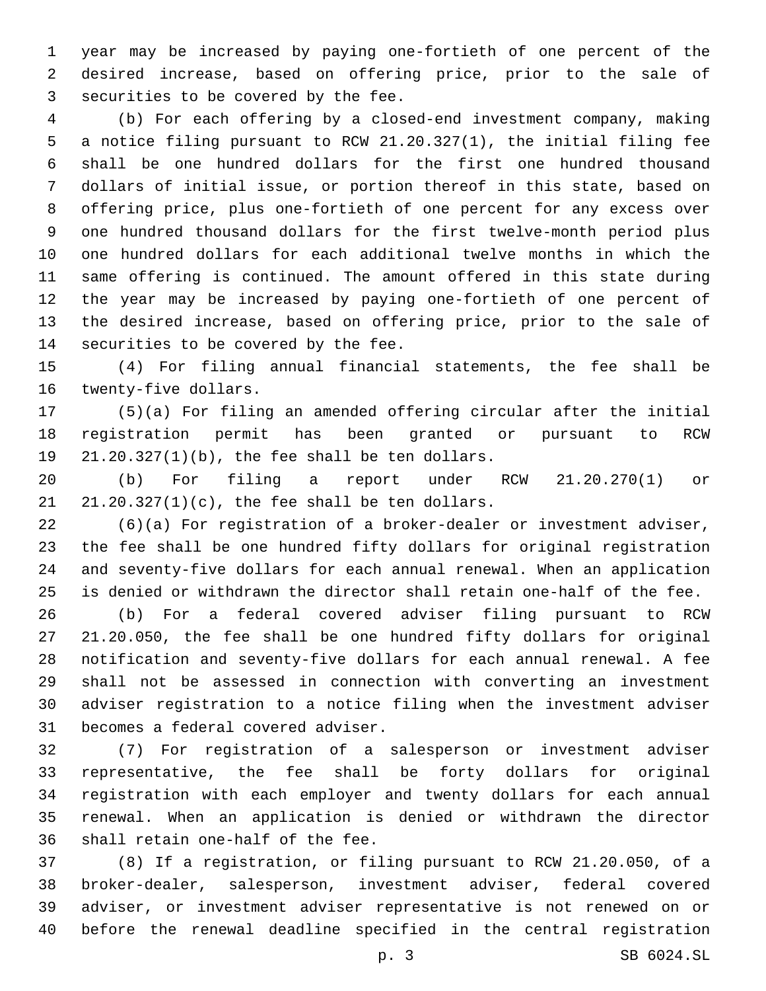year may be increased by paying one-fortieth of one percent of the desired increase, based on offering price, prior to the sale of 3 securities to be covered by the fee.

 (b) For each offering by a closed-end investment company, making a notice filing pursuant to RCW 21.20.327(1), the initial filing fee shall be one hundred dollars for the first one hundred thousand dollars of initial issue, or portion thereof in this state, based on offering price, plus one-fortieth of one percent for any excess over one hundred thousand dollars for the first twelve-month period plus one hundred dollars for each additional twelve months in which the same offering is continued. The amount offered in this state during the year may be increased by paying one-fortieth of one percent of the desired increase, based on offering price, prior to the sale of 14 securities to be covered by the fee.

 (4) For filing annual financial statements, the fee shall be 16 twenty-five dollars.

 (5)(a) For filing an amended offering circular after the initial registration permit has been granted or pursuant to RCW  $21.20.327(1)(b)$ , the fee shall be ten dollars.

 (b) For filing a report under RCW 21.20.270(1) or  $21.20.327(1)(c)$ , the fee shall be ten dollars.

 (6)(a) For registration of a broker-dealer or investment adviser, the fee shall be one hundred fifty dollars for original registration and seventy-five dollars for each annual renewal. When an application is denied or withdrawn the director shall retain one-half of the fee.

 (b) For a federal covered adviser filing pursuant to RCW 21.20.050, the fee shall be one hundred fifty dollars for original notification and seventy-five dollars for each annual renewal. A fee shall not be assessed in connection with converting an investment adviser registration to a notice filing when the investment adviser 31 becomes a federal covered adviser.

 (7) For registration of a salesperson or investment adviser representative, the fee shall be forty dollars for original registration with each employer and twenty dollars for each annual renewal. When an application is denied or withdrawn the director 36 shall retain one-half of the fee.

 (8) If a registration, or filing pursuant to RCW 21.20.050, of a broker-dealer, salesperson, investment adviser, federal covered adviser, or investment adviser representative is not renewed on or before the renewal deadline specified in the central registration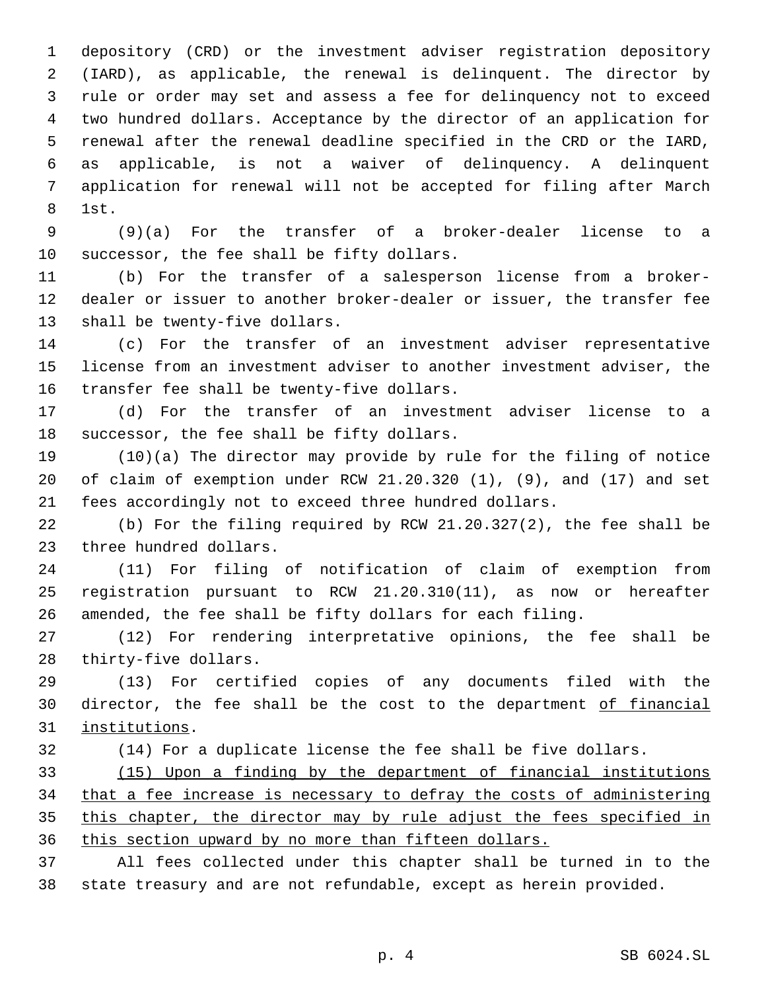depository (CRD) or the investment adviser registration depository (IARD), as applicable, the renewal is delinquent. The director by rule or order may set and assess a fee for delinquency not to exceed two hundred dollars. Acceptance by the director of an application for renewal after the renewal deadline specified in the CRD or the IARD, as applicable, is not a waiver of delinquency. A delinquent application for renewal will not be accepted for filing after March 8 1st.

 (9)(a) For the transfer of a broker-dealer license to a 10 successor, the fee shall be fifty dollars.

 (b) For the transfer of a salesperson license from a broker- dealer or issuer to another broker-dealer or issuer, the transfer fee 13 shall be twenty-five dollars.

 (c) For the transfer of an investment adviser representative license from an investment adviser to another investment adviser, the 16 transfer fee shall be twenty-five dollars.

 (d) For the transfer of an investment adviser license to a 18 successor, the fee shall be fifty dollars.

 (10)(a) The director may provide by rule for the filing of notice of claim of exemption under RCW 21.20.320 (1), (9), and (17) and set fees accordingly not to exceed three hundred dollars.

 (b) For the filing required by RCW 21.20.327(2), the fee shall be 23 three hundred dollars.

 (11) For filing of notification of claim of exemption from registration pursuant to RCW 21.20.310(11), as now or hereafter amended, the fee shall be fifty dollars for each filing.

 (12) For rendering interpretative opinions, the fee shall be 28 thirty-five dollars.

 (13) For certified copies of any documents filed with the 30 director, the fee shall be the cost to the department of financial 31 institutions.

(14) For a duplicate license the fee shall be five dollars.

 (15) Upon a finding by the department of financial institutions that a fee increase is necessary to defray the costs of administering this chapter, the director may by rule adjust the fees specified in this section upward by no more than fifteen dollars.

 All fees collected under this chapter shall be turned in to the state treasury and are not refundable, except as herein provided.